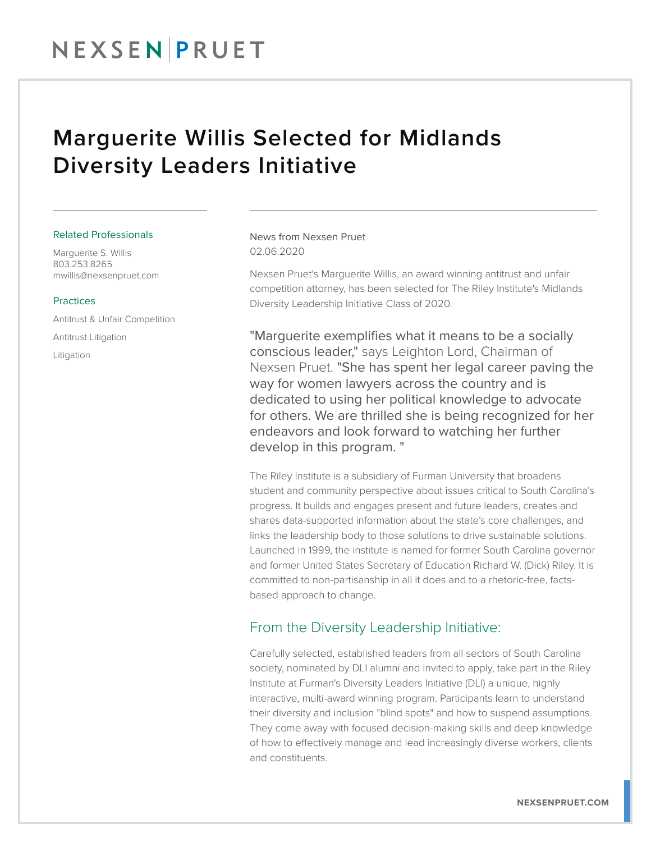## NEXSENPRUET

### Marguerite Willis Selected for Midlands Diversity Leaders Initiative

#### Related Professionals

Marguerite S. Willis 803.253.8265 mwillis@nexsenpruet.com

#### Practices

Antitrust & Unfair Competition Antitrust Litigation Litigation

News from Nexsen Pruet 02.06.2020

Nexsen Pruet's Marguerite Willis, an award winning antitrust and unfair competition attorney, has been selected for The Riley Institute's Midlands Diversity Leadership Initiative Class of 2020.

"Marguerite exemplifies what it means to be a socially conscious leader," says Leighton Lord, Chairman of Nexsen Pruet. "She has spent her legal career paving the way for women lawyers across the country and is dedicated to using her political knowledge to advocate for others. We are thrilled she is being recognized for her endeavors and look forward to watching her further develop in this program. "

The Riley Institute is a subsidiary of Furman University that broadens student and community perspective about issues critical to South Carolina's progress. It builds and engages present and future leaders, creates and shares data-supported information about the state's core challenges, and links the leadership body to those solutions to drive sustainable solutions. Launched in 1999, the institute is named for former South Carolina governor and former United States Secretary of Education Richard W. (Dick) Riley. It is committed to non-partisanship in all it does and to a rhetoric-free, factsbased approach to change.

### From the Diversity Leadership Initiative:

Carefully selected, established leaders from all sectors of South Carolina society, nominated by DLI alumni and invited to apply, take part in the Riley Institute at Furman's Diversity Leaders Initiative (DLI) a unique, highly interactive, multi-award winning program. Participants learn to understand their diversity and inclusion "blind spots" and how to suspend assumptions. They come away with focused decision-making skills and deep knowledge of how to effectively manage and lead increasingly diverse workers, clients and constituents.